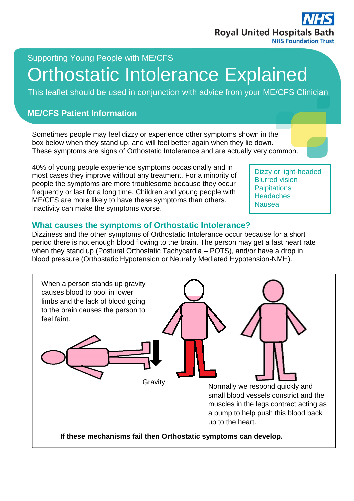

## Supporting Young People with ME/CFS

# Orthostatic Intolerance Explained

This leaflet should be used in conjunction with advice from your ME/CFS Clinician

#### **ME/CFS Patient Information**

Sometimes people may feel dizzy or experience other symptoms shown in the box below when they stand up, and will feel better again when they lie down. These symptoms are signs of Orthostatic Intolerance and are actually very common.

40% of young people experience symptoms occasionally and in most cases they improve without any treatment. For a minority of people the symptoms are more troublesome because they occur frequently or last for a long time. Children and young people with ME/CFS are more likely to have these symptoms than others. Inactivity can make the symptoms worse.

Dizzy or light-headed Blurred vision **Palpitations Headaches** Nausea

#### **What causes the symptoms of Orthostatic Intolerance?**

Dizziness and the other symptoms of Orthostatic Intolerance occur because for a short period there is not enough blood flowing to the brain. The person may get a fast heart rate when they stand up (Postural Orthostatic Tachycardia – POTS), and/or have a drop in blood pressure (Orthostatic Hypotension or Neurally Mediated Hypotension-NMH).